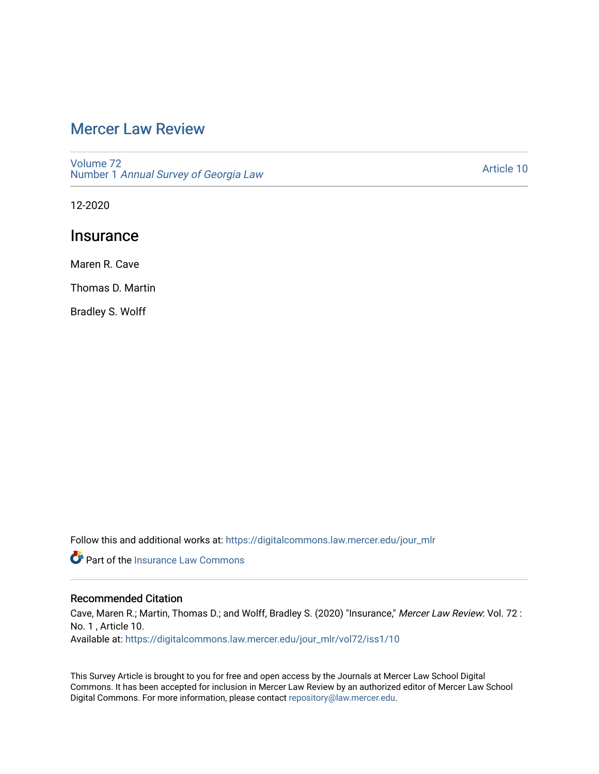# [Mercer Law Review](https://digitalcommons.law.mercer.edu/jour_mlr)

[Volume 72](https://digitalcommons.law.mercer.edu/jour_mlr/vol72) Number 1 [Annual Survey of Georgia Law](https://digitalcommons.law.mercer.edu/jour_mlr/vol72/iss1) 

[Article 10](https://digitalcommons.law.mercer.edu/jour_mlr/vol72/iss1/10) 

12-2020

## **Insurance**

Maren R. Cave

Thomas D. Martin

Bradley S. Wolff

Follow this and additional works at: [https://digitalcommons.law.mercer.edu/jour\\_mlr](https://digitalcommons.law.mercer.edu/jour_mlr?utm_source=digitalcommons.law.mercer.edu%2Fjour_mlr%2Fvol72%2Fiss1%2F10&utm_medium=PDF&utm_campaign=PDFCoverPages)

**P** Part of the [Insurance Law Commons](http://network.bepress.com/hgg/discipline/607?utm_source=digitalcommons.law.mercer.edu%2Fjour_mlr%2Fvol72%2Fiss1%2F10&utm_medium=PDF&utm_campaign=PDFCoverPages)

## Recommended Citation

Cave, Maren R.; Martin, Thomas D.; and Wolff, Bradley S. (2020) "Insurance," Mercer Law Review: Vol. 72 : No. 1 , Article 10. Available at: [https://digitalcommons.law.mercer.edu/jour\\_mlr/vol72/iss1/10](https://digitalcommons.law.mercer.edu/jour_mlr/vol72/iss1/10?utm_source=digitalcommons.law.mercer.edu%2Fjour_mlr%2Fvol72%2Fiss1%2F10&utm_medium=PDF&utm_campaign=PDFCoverPages) 

This Survey Article is brought to you for free and open access by the Journals at Mercer Law School Digital Commons. It has been accepted for inclusion in Mercer Law Review by an authorized editor of Mercer Law School Digital Commons. For more information, please contact [repository@law.mercer.edu](mailto:repository@law.mercer.edu).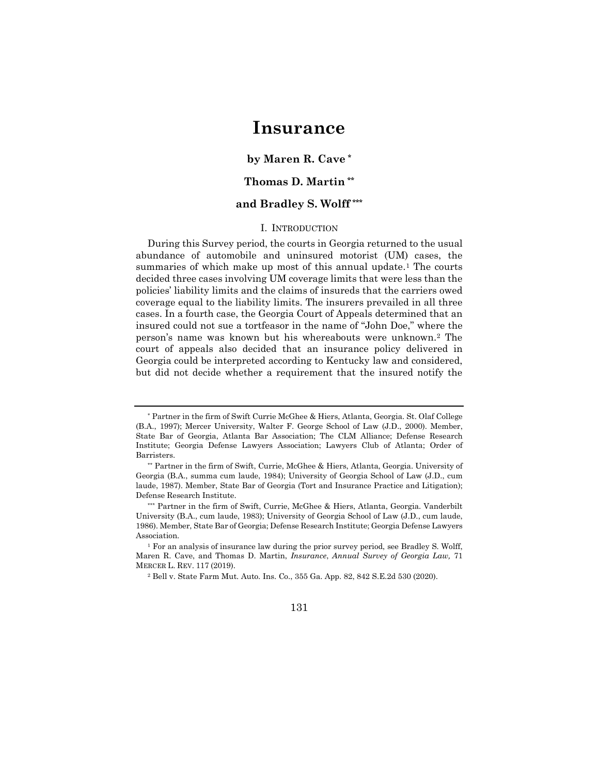## **Insurance**

**by Maren R. Cave [\\*](#page-1-0)**

## **Thomas D. Martin [\\*\\*](#page-1-1)**

## **and Bradley S. Wolff [\\*\\*\\*](#page-1-2)**

### I. INTRODUCTION

During this Survey period, the courts in Georgia returned to the usual abundance of automobile and uninsured motorist (UM) cases, the summaries of which make up most of this annual update.<sup>[1](#page-1-3)</sup> The courts decided three cases involving UM coverage limits that were less than the policies' liability limits and the claims of insureds that the carriers owed coverage equal to the liability limits. The insurers prevailed in all three cases. In a fourth case, the Georgia Court of Appeals determined that an insured could not sue a tortfeasor in the name of "John Doe," where the person's name was known but his whereabouts were unknown.[2](#page-1-4) The court of appeals also decided that an insurance policy delivered in Georgia could be interpreted according to Kentucky law and considered, but did not decide whether a requirement that the insured notify the

<sup>2</sup> Bell v. State Farm Mut. Auto. Ins. Co., 355 Ga. App. 82, 842 S.E.2d 530 (2020).

131

<span id="page-1-0"></span><sup>\*</sup> Partner in the firm of Swift Currie McGhee & Hiers, Atlanta, Georgia. St. Olaf College (B.A., 1997); Mercer University, Walter F. George School of Law (J.D., 2000). Member, State Bar of Georgia, Atlanta Bar Association; The CLM Alliance; Defense Research Institute; Georgia Defense Lawyers Association; Lawyers Club of Atlanta; Order of Barristers.

<span id="page-1-1"></span><sup>\*\*</sup> Partner in the firm of Swift, Currie, McGhee & Hiers, Atlanta, Georgia. University of Georgia (B.A., summa cum laude, 1984); University of Georgia School of Law (J.D., cum laude, 1987). Member, State Bar of Georgia (Tort and Insurance Practice and Litigation); Defense Research Institute.

<span id="page-1-2"></span><sup>\*\*\*</sup> Partner in the firm of Swift, Currie, McGhee & Hiers, Atlanta, Georgia. Vanderbilt University (B.A., cum laude, 1983); University of Georgia School of Law (J.D., cum laude, 1986). Member, State Bar of Georgia; Defense Research Institute; Georgia Defense Lawyers Association.

<span id="page-1-4"></span><span id="page-1-3"></span><sup>1</sup> For an analysis of insurance law during the prior survey period, see Bradley S. Wolff, Maren R. Cave, and Thomas D. Martin, *Insurance*, *Annual Survey of Georgia Law,* 71 MERCER L. REV. 117 (2019).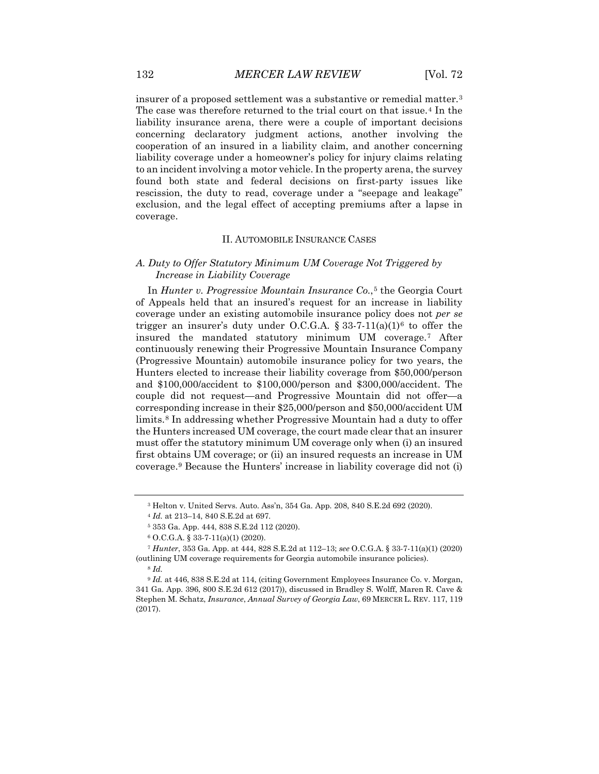insurer of a proposed settlement was a substantive or remedial matter.[3](#page-2-0) The case was therefore returned to the trial court on that issue.[4](#page-2-1) In the liability insurance arena, there were a couple of important decisions concerning declaratory judgment actions, another involving the cooperation of an insured in a liability claim, and another concerning liability coverage under a homeowner's policy for injury claims relating to an incident involving a motor vehicle. In the property arena, the survey found both state and federal decisions on first-party issues like rescission, the duty to read, coverage under a "seepage and leakage" exclusion, and the legal effect of accepting premiums after a lapse in coverage.

#### II. AUTOMOBILE INSURANCE CASES

## *A. Duty to Offer Statutory Minimum UM Coverage Not Triggered by Increase in Liability Coverage*

In *Hunter v. Progressive Mountain Insurance Co.*,[5](#page-2-2) the Georgia Court of Appeals held that an insured's request for an increase in liability coverage under an existing automobile insurance policy does not *per se* trigger an insurer's duty under O.C.G.A.  $\S 33-7-11(a)(1)^6$  $\S 33-7-11(a)(1)^6$  to offer the insured the mandated statutory minimum UM coverage.[7](#page-2-4) After continuously renewing their Progressive Mountain Insurance Company (Progressive Mountain) automobile insurance policy for two years, the Hunters elected to increase their liability coverage from \$50,000/person and \$100,000/accident to \$100,000/person and \$300,000/accident. The couple did not request—and Progressive Mountain did not offer—a corresponding increase in their \$25,000/person and \$50,000/accident UM limits.<sup>[8](#page-2-5)</sup> In addressing whether Progressive Mountain had a duty to offer the Hunters increased UM coverage, the court made clear that an insurer must offer the statutory minimum UM coverage only when (i) an insured first obtains UM coverage; or (ii) an insured requests an increase in UM coverage[.9](#page-2-6) Because the Hunters' increase in liability coverage did not (i)

<sup>3</sup> Helton v. United Servs. Auto. Ass'n, 354 Ga. App. 208, 840 S.E.2d 692 (2020).

<sup>4</sup> *Id.* at 213–14, 840 S.E.2d at 697.

<sup>5</sup> 353 Ga. App. 444, 838 S.E.2d 112 (2020).

<sup>6</sup> O.C.G.A. § 33-7-11(a)(1) (2020).

<span id="page-2-4"></span><span id="page-2-3"></span><span id="page-2-2"></span><span id="page-2-1"></span><span id="page-2-0"></span><sup>7</sup> *Hunter*, 353 Ga. App. at 444, 828 S.E.2d at 112–13; *see* O.C.G.A. § 33-7-11(a)(1) (2020) (outlining UM coverage requirements for Georgia automobile insurance policies).

<sup>8</sup> *Id.*

<span id="page-2-6"></span><span id="page-2-5"></span><sup>9</sup> *Id.* at 446, 838 S.E.2d at 114, (citing Government Employees Insurance Co. v. Morgan, 341 Ga. App. 396, 800 S.E.2d 612 (2017)), discussed in Bradley S. Wolff, Maren R. Cave & Stephen M. Schatz, *Insurance*, *Annual Survey of Georgia Law*, 69 MERCER L. REV. 117, 119 (2017).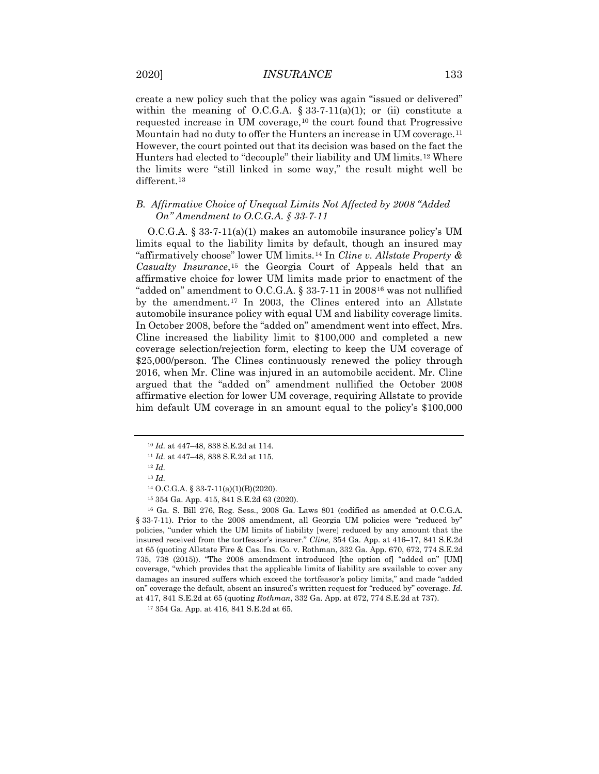create a new policy such that the policy was again "issued or delivered" within the meaning of O.C.G.A.  $\S 33-7-11(a)(1)$ ; or (ii) constitute a requested increase in UM coverage, $10$  the court found that Progressive Mountain had no duty to offer the Hunters an increase in UM coverage.[11](#page-3-1) However, the court pointed out that its decision was based on the fact the Hunters had elected to "decouple" their liability and UM limits.[12](#page-3-2) Where the limits were "still linked in some way," the result might well be different.<sup>[13](#page-3-3)</sup>

## *B. Affirmative Choice of Unequal Limits Not Affected by 2008 "Added On" Amendment to O.C.G.A. § 33-7-11*

O.C.G.A. § 33-7-11(a)(1) makes an automobile insurance policy's UM limits equal to the liability limits by default, though an insured may "affirmatively choose" lower UM limits.[14](#page-3-4) In *Cline v. Allstate Property & Casualty Insurance*,[15](#page-3-5) the Georgia Court of Appeals held that an affirmative choice for lower UM limits made prior to enactment of the "added on" amendment to O.C.G.A. § 33-7-11 in 2008[16](#page-3-6) was not nullified by the amendment.[17](#page-3-7) In 2003, the Clines entered into an Allstate automobile insurance policy with equal UM and liability coverage limits. In October 2008, before the "added on" amendment went into effect, Mrs. Cline increased the liability limit to \$100,000 and completed a new coverage selection/rejection form, electing to keep the UM coverage of \$25,000/person. The Clines continuously renewed the policy through 2016, when Mr. Cline was injured in an automobile accident. Mr. Cline argued that the "added on" amendment nullified the October 2008 affirmative election for lower UM coverage, requiring Allstate to provide him default UM coverage in an amount equal to the policy's \$100,000

<sup>10</sup> *Id.* at 447–48, 838 S.E.2d at 114.

<sup>11</sup> *Id.* at 447–48, 838 S.E.2d at 115.

<span id="page-3-1"></span><span id="page-3-0"></span><sup>12</sup> *Id.* <sup>13</sup> *Id.*

<sup>14</sup> O.C.G.A. § 33-7-11(a)(1)(B)(2020).

<sup>15</sup> 354 Ga. App. 415, 841 S.E.2d 63 (2020).

<span id="page-3-6"></span><span id="page-3-5"></span><span id="page-3-4"></span><span id="page-3-3"></span><span id="page-3-2"></span><sup>16</sup> Ga. S. Bill 276, Reg. Sess., 2008 Ga. Laws 801 (codified as amended at O.C.G.A. § 33-7-11). Prior to the 2008 amendment, all Georgia UM policies were "reduced by" policies, "under which the UM limits of liability [were] reduced by any amount that the insured received from the tortfeasor's insurer." *Cline*, 354 Ga. App. at 416–17, 841 S.E.2d at 65 (quoting Allstate Fire & Cas. Ins. Co. v. Rothman, 332 Ga. App. 670, 672, 774 S.E.2d 735, 738 (2015)). "The 2008 amendment introduced [the option of] "added on" [UM] coverage, "which provides that the applicable limits of liability are available to cover any damages an insured suffers which exceed the tortfeasor's policy limits," and made "added on" coverage the default, absent an insured's written request for "reduced by" coverage. *Id.* at 417, 841 S.E.2d at 65 (quoting *Rothman*, 332 Ga. App. at 672, 774 S.E.2d at 737).

<span id="page-3-7"></span><sup>17</sup> 354 Ga. App. at 416, 841 S.E.2d at 65.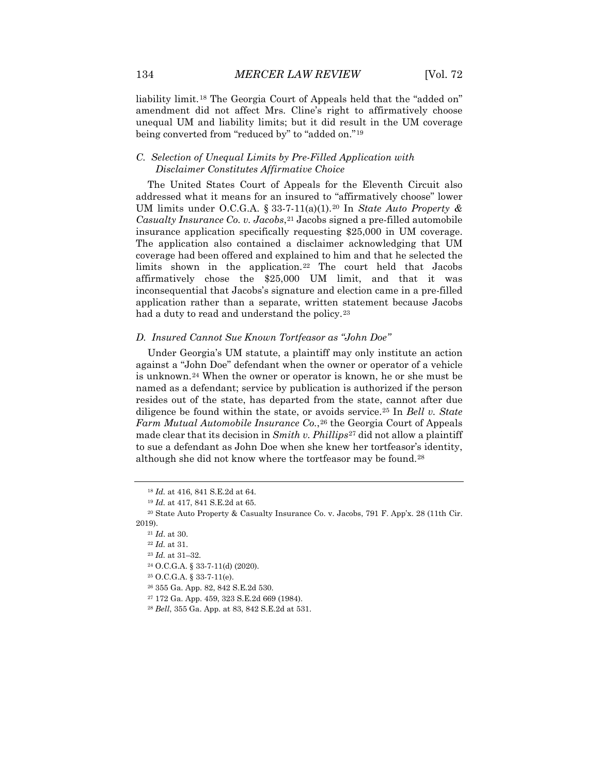liability limit.[18](#page-4-0) The Georgia Court of Appeals held that the "added on" amendment did not affect Mrs. Cline's right to affirmatively choose unequal UM and liability limits; but it did result in the UM coverage being converted from "reduced by" to "added on."[19](#page-4-1)

## *C. Selection of Unequal Limits by Pre-Filled Application with Disclaimer Constitutes Affirmative Choice*

The United States Court of Appeals for the Eleventh Circuit also addressed what it means for an insured to "affirmatively choose" lower UM limits under O.C.G.A. § 33-7-11(a)(1).[20](#page-4-2) In *State Auto Property & Casualty Insurance Co. v. Jacobs*, <sup>[21](#page-4-3)</sup> Jacobs signed a pre-filled automobile insurance application specifically requesting \$25,000 in UM coverage. The application also contained a disclaimer acknowledging that UM coverage had been offered and explained to him and that he selected the limits shown in the application.[22](#page-4-4) The court held that Jacobs affirmatively chose the \$25,000 UM limit, and that it was inconsequential that Jacobs's signature and election came in a pre-filled application rather than a separate, written statement because Jacobs had a duty to read and understand the policy.<sup>[23](#page-4-5)</sup>

#### *D. Insured Cannot Sue Known Tortfeasor as "John Doe"*

Under Georgia's UM statute, a plaintiff may only institute an action against a "John Doe" defendant when the owner or operator of a vehicle is unknown.[24](#page-4-6) When the owner or operator is known, he or she must be named as a defendant; service by publication is authorized if the person resides out of the state, has departed from the state, cannot after due diligence be found within the state, or avoids service.[25](#page-4-7) In *Bell v. State Farm Mutual Automobile Insurance Co.*, <sup>[26](#page-4-8)</sup> the Georgia Court of Appeals made clear that its decision in *Smith v. Phillips*[27](#page-4-9) did not allow a plaintiff to sue a defendant as John Doe when she knew her tortfeasor's identity, although she did not know where the tortfeasor may be found.[28](#page-4-10)

<sup>18</sup> *Id.* at 416, 841 S.E.2d at 64.

<sup>19</sup> *Id.* at 417, 841 S.E.2d at 65.

<span id="page-4-6"></span><span id="page-4-5"></span><span id="page-4-4"></span><span id="page-4-3"></span><span id="page-4-2"></span><span id="page-4-1"></span><span id="page-4-0"></span><sup>20</sup> State Auto Property & Casualty Insurance Co. v. Jacobs, 791 F. App'x. 28 (11th Cir. 2019).

<sup>21</sup> *Id*. at 30.

<sup>22</sup> *Id.* at 31.

<sup>23</sup> *Id.* at 31–32.

<sup>24</sup> O.C.G.A. § 33-7-11(d) (2020).

<sup>25</sup> O.C.G.A. § 33-7-11(e).

<span id="page-4-8"></span><span id="page-4-7"></span><sup>26</sup> 355 Ga. App. 82, 842 S.E.2d 530.

<span id="page-4-9"></span><sup>27</sup> 172 Ga. App. 459, 323 S.E.2d 669 (1984).

<span id="page-4-10"></span><sup>28</sup> *Bell*, 355 Ga. App. at 83, 842 S.E.2d at 531.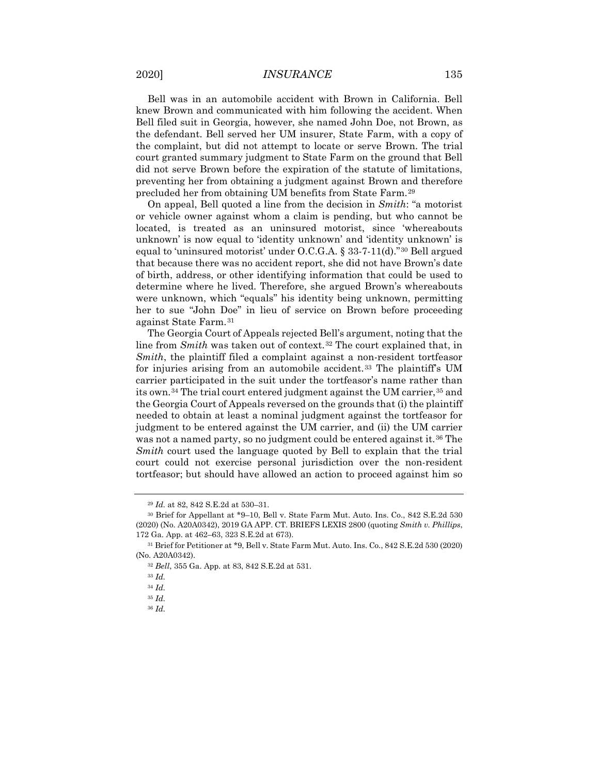## 2020] *INSURANCE* 135

Bell was in an automobile accident with Brown in California. Bell knew Brown and communicated with him following the accident. When Bell filed suit in Georgia, however, she named John Doe, not Brown, as the defendant. Bell served her UM insurer, State Farm, with a copy of the complaint, but did not attempt to locate or serve Brown. The trial court granted summary judgment to State Farm on the ground that Bell did not serve Brown before the expiration of the statute of limitations, preventing her from obtaining a judgment against Brown and therefore precluded her from obtaining UM benefits from State Farm.[29](#page-5-0)

On appeal, Bell quoted a line from the decision in *Smith*: "a motorist or vehicle owner against whom a claim is pending, but who cannot be located, is treated as an uninsured motorist, since 'whereabouts unknown' is now equal to 'identity unknown' and 'identity unknown' is equal to 'uninsured motorist' under O.C.G.A. § 33-7-11(d)."[30](#page-5-1) Bell argued that because there was no accident report, she did not have Brown's date of birth, address, or other identifying information that could be used to determine where he lived. Therefore, she argued Brown's whereabouts were unknown, which "equals" his identity being unknown, permitting her to sue "John Doe" in lieu of service on Brown before proceeding against State Farm.[31](#page-5-2)

The Georgia Court of Appeals rejected Bell's argument, noting that the line from *Smith* was taken out of context.[32](#page-5-3) The court explained that, in *Smith*, the plaintiff filed a complaint against a non-resident tortfeasor for injuries arising from an automobile accident.<sup>[33](#page-5-4)</sup> The plaintiff's UM carrier participated in the suit under the tortfeasor's name rather than its own.<sup>[34](#page-5-5)</sup> The trial court entered judgment against the UM carrier,<sup>[35](#page-5-6)</sup> and the Georgia Court of Appeals reversed on the grounds that (i) the plaintiff needed to obtain at least a nominal judgment against the tortfeasor for judgment to be entered against the UM carrier, and (ii) the UM carrier was not a named party, so no judgment could be entered against it.<sup>[36](#page-5-7)</sup> The *Smith* court used the language quoted by Bell to explain that the trial court could not exercise personal jurisdiction over the non-resident tortfeasor; but should have allowed an action to proceed against him so

<sup>29</sup> *Id.* at 82, 842 S.E.2d at 530–31.

<span id="page-5-1"></span><span id="page-5-0"></span><sup>30</sup> Brief for Appellant at \*9–10, Bell v. State Farm Mut. Auto. Ins. Co., 842 S.E.2d 530 (2020) (No. A20A0342), 2019 GA APP. CT. BRIEFS LEXIS 2800 (quoting *Smith v. Phillips*, 172 Ga. App. at 462–63, 323 S.E.2d at 673).

<span id="page-5-6"></span><span id="page-5-5"></span><span id="page-5-4"></span><span id="page-5-3"></span><span id="page-5-2"></span><sup>31</sup> Brief for Petitioner at \*9, Bell v. State Farm Mut. Auto. Ins. Co., 842 S.E.2d 530 (2020) (No. A20A0342).

<sup>32</sup> *Bell*, 355 Ga. App. at 83, 842 S.E.2d at 531.

<sup>33</sup> *Id.*

<sup>34</sup> *Id.*

<sup>35</sup> *Id.*

<span id="page-5-7"></span><sup>36</sup> *Id.*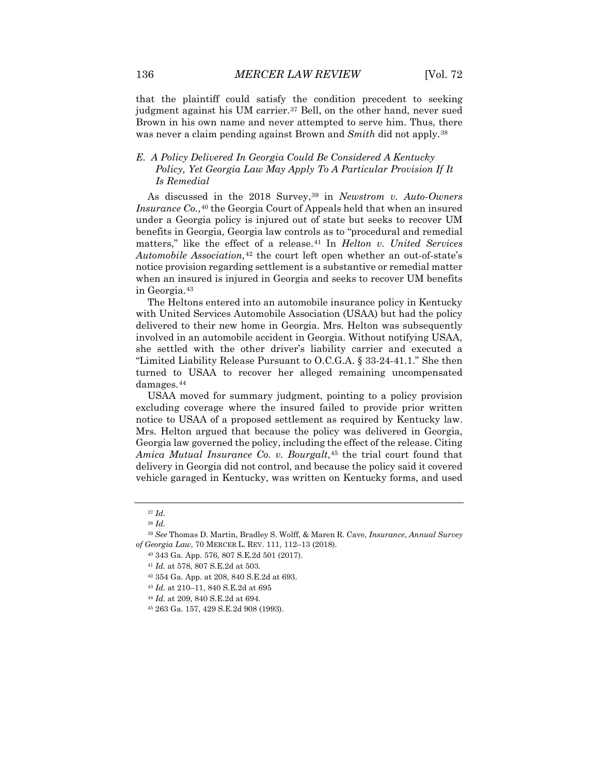that the plaintiff could satisfy the condition precedent to seeking judgment against his UM carrier.<sup>[37](#page-6-0)</sup> Bell, on the other hand, never sued Brown in his own name and never attempted to serve him. Thus, there was never a claim pending against Brown and *Smith* did not apply.[38](#page-6-1)

## *E. A Policy Delivered In Georgia Could Be Considered A Kentucky Policy, Yet Georgia Law May Apply To A Particular Provision If It Is Remedial*

As discussed in the 2018 Survey,<sup>39</sup> in *Newstrom v. Auto-Owners Insurance Co.*, <sup>[40](#page-6-3)</sup> the Georgia Court of Appeals held that when an insured under a Georgia policy is injured out of state but seeks to recover UM benefits in Georgia, Georgia law controls as to "procedural and remedial matters," like the effect of a release.[41](#page-6-4) In *Helton v. United Services Automobile Association,*[42](#page-6-5) the court left open whether an out-of-state's notice provision regarding settlement is a substantive or remedial matter when an insured is injured in Georgia and seeks to recover UM benefits in Georgia.[43](#page-6-6)

The Heltons entered into an automobile insurance policy in Kentucky with United Services Automobile Association (USAA) but had the policy delivered to their new home in Georgia. Mrs. Helton was subsequently involved in an automobile accident in Georgia. Without notifying USAA, she settled with the other driver's liability carrier and executed a "Limited Liability Release Pursuant to O.C.G.A. § 33-24-41.1." She then turned to USAA to recover her alleged remaining uncompensated damages.[44](#page-6-7)

USAA moved for summary judgment, pointing to a policy provision excluding coverage where the insured failed to provide prior written notice to USAA of a proposed settlement as required by Kentucky law. Mrs. Helton argued that because the policy was delivered in Georgia, Georgia law governed the policy, including the effect of the release. Citing Amica Mutual Insurance Co. v. Bourgalt,<sup>[45](#page-6-8)</sup> the trial court found that delivery in Georgia did not control, and because the policy said it covered vehicle garaged in Kentucky, was written on Kentucky forms, and used

- <sup>43</sup> *Id.* at 210–11, 840 S.E.2d at 695
- <span id="page-6-7"></span><sup>44</sup> *Id.* at 209, 840 S.E.2d at 694.

<sup>37</sup> *Id.*

<sup>38</sup> *Id.*

<span id="page-6-6"></span><span id="page-6-5"></span><span id="page-6-4"></span><span id="page-6-3"></span><span id="page-6-2"></span><span id="page-6-1"></span><span id="page-6-0"></span><sup>39</sup> *See* Thomas D. Martin, Bradley S. Wolff, & Maren R. Cave, *Insurance*, *Annual Survey of Georgia Law*, 70 MERCER L. REV. 111, 112–13 (2018).

<sup>40</sup> 343 Ga. App. 576, 807 S.E.2d 501 (2017).

<sup>41</sup> *Id.* at 578, 807 S.E.2d at 503.

<sup>42</sup> 354 Ga. App. at 208, 840 S.E.2d at 693.

<span id="page-6-8"></span><sup>45</sup> 263 Ga. 157, 429 S.E.2d 908 (1993).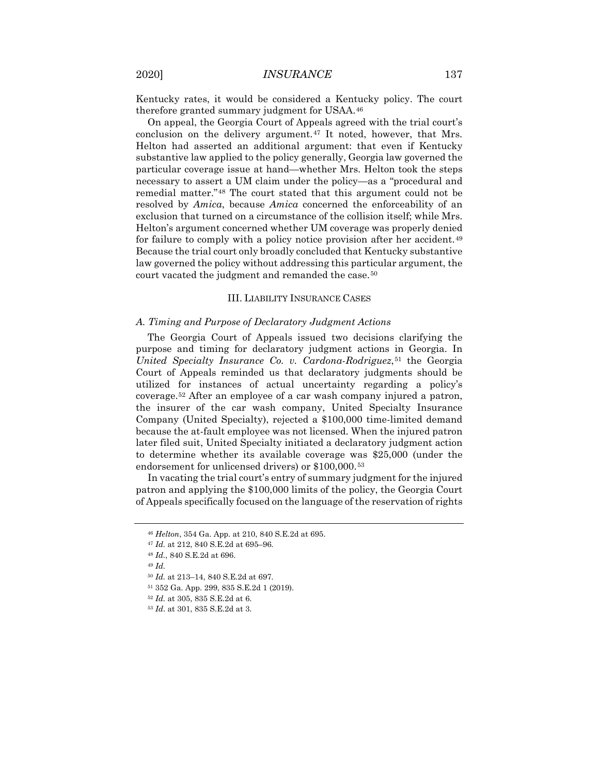Kentucky rates, it would be considered a Kentucky policy. The court therefore granted summary judgment for USAA.[46](#page-7-0)

On appeal, the Georgia Court of Appeals agreed with the trial court's conclusion on the delivery argument.<sup>[47](#page-7-1)</sup> It noted, however, that Mrs. Helton had asserted an additional argument: that even if Kentucky substantive law applied to the policy generally, Georgia law governed the particular coverage issue at hand—whether Mrs. Helton took the steps necessary to assert a UM claim under the policy—as a "procedural and remedial matter."[48](#page-7-2) The court stated that this argument could not be resolved by *Amica*, because *Amica* concerned the enforceability of an exclusion that turned on a circumstance of the collision itself; while Mrs. Helton's argument concerned whether UM coverage was properly denied for failure to comply with a policy notice provision after her accident.[49](#page-7-3) Because the trial court only broadly concluded that Kentucky substantive law governed the policy without addressing this particular argument, the court vacated the judgment and remanded the case.<sup>[50](#page-7-4)</sup>

#### III. LIABILITY INSURANCE CASES

#### *A. Timing and Purpose of Declaratory Judgment Actions*

The Georgia Court of Appeals issued two decisions clarifying the purpose and timing for declaratory judgment actions in Georgia. In *United Specialty Insurance Co. v. Cardona-Rodriguez*,<sup>[51](#page-7-5)</sup> the Georgia Court of Appeals reminded us that declaratory judgments should be utilized for instances of actual uncertainty regarding a policy's coverage[.52](#page-7-6) After an employee of a car wash company injured a patron, the insurer of the car wash company, United Specialty Insurance Company (United Specialty), rejected a \$100,000 time-limited demand because the at-fault employee was not licensed. When the injured patron later filed suit, United Specialty initiated a declaratory judgment action to determine whether its available coverage was \$25,000 (under the endorsement for unlicensed drivers) or \$100,000.[53](#page-7-7)

<span id="page-7-0"></span>In vacating the trial court's entry of summary judgment for the injured patron and applying the \$100,000 limits of the policy, the Georgia Court of Appeals specifically focused on the language of the reservation of rights

<sup>46</sup> *Helton*, 354 Ga. App. at 210, 840 S.E.2d at 695.

<span id="page-7-2"></span><span id="page-7-1"></span><sup>47</sup> *Id.* at 212, 840 S.E.2d at 695–96.

<sup>48</sup> *Id.*, 840 S.E.2d at 696.

<span id="page-7-3"></span><sup>49</sup> *Id.*

<span id="page-7-4"></span><sup>50</sup> *Id.* at 213–14, 840 S.E.2d at 697.

<span id="page-7-5"></span><sup>51</sup> 352 Ga. App. 299, 835 S.E.2d 1 (2019).

<span id="page-7-7"></span><span id="page-7-6"></span><sup>52</sup> *Id.* at 305, 835 S.E.2d at 6.

<sup>53</sup> *Id*. at 301, 835 S.E.2d at 3.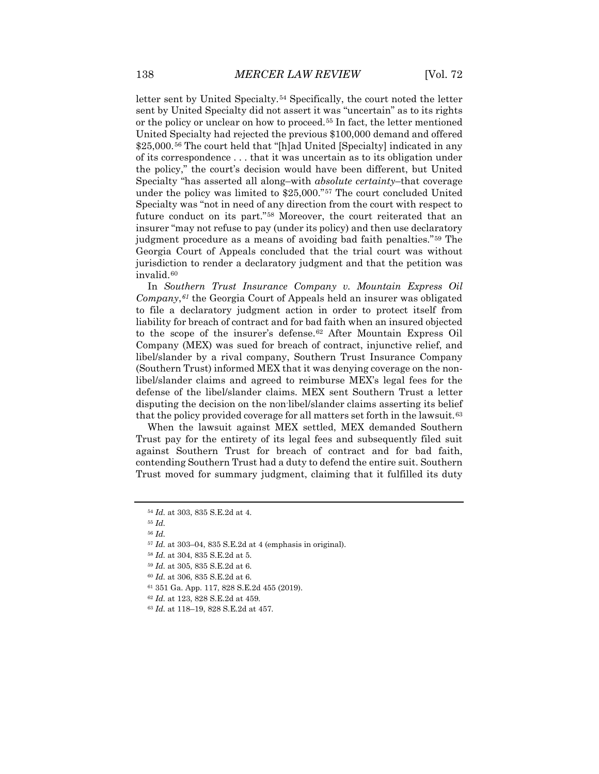letter sent by United Specialty.<sup>[54](#page-8-0)</sup> Specifically, the court noted the letter sent by United Specialty did not assert it was "uncertain" as to its rights or the policy or unclear on how to proceed.[55](#page-8-1) In fact, the letter mentioned United Specialty had rejected the previous \$100,000 demand and offered \$25,000.<sup>[56](#page-8-2)</sup> The court held that "[h]ad United [Specialty] indicated in any of its correspondence . . . that it was uncertain as to its obligation under the policy," the court's decision would have been different, but United Specialty "has asserted all along–with *absolute certainty*–that coverage under the policy was limited to \$25,000."[57](#page-8-3) The court concluded United Specialty was "not in need of any direction from the court with respect to future conduct on its part."[58](#page-8-4) Moreover, the court reiterated that an insurer "may not refuse to pay (under its policy) and then use declaratory judgment procedure as a means of avoiding bad faith penalties."[59](#page-8-5) The Georgia Court of Appeals concluded that the trial court was without jurisdiction to render a declaratory judgment and that the petition was invalid.[60](#page-8-6)

In *Southern Trust Insurance Company v. Mountain Express Oil Company*,*[61](#page-8-7)* the Georgia Court of Appeals held an insurer was obligated to file a declaratory judgment action in order to protect itself from liability for breach of contract and for bad faith when an insured objected to the scope of the insurer's defense.<sup>[62](#page-8-8)</sup> After Mountain Express Oil Company (MEX) was sued for breach of contract, injunctive relief, and libel/slander by a rival company, Southern Trust Insurance Company (Southern Trust) informed MEX that it was denying coverage on the nonlibel/slander claims and agreed to reimburse MEX's legal fees for the defense of the libel/slander claims. MEX sent Southern Trust a letter disputing the decision on the non-libel/slander claims asserting its belief that the policy provided coverage for all matters set forth in the lawsuit.<sup>[63](#page-8-9)</sup>

When the lawsuit against MEX settled, MEX demanded Southern Trust pay for the entirety of its legal fees and subsequently filed suit against Southern Trust for breach of contract and for bad faith, contending Southern Trust had a duty to defend the entire suit. Southern Trust moved for summary judgment, claiming that it fulfilled its duty

<sup>54</sup> *Id.* at 303, 835 S.E.2d at 4.

<span id="page-8-2"></span><span id="page-8-1"></span><span id="page-8-0"></span><sup>55</sup> *Id.*

<sup>56</sup> *Id.*

<sup>57</sup> *Id.* at 303–04, 835 S.E.2d at 4 (emphasis in original).

<span id="page-8-4"></span><span id="page-8-3"></span><sup>58</sup> *Id.* at 304, 835 S.E.2d at 5.

<span id="page-8-5"></span><sup>59</sup> *Id.* at 305, 835 S.E.2d at 6.

<span id="page-8-7"></span><span id="page-8-6"></span><sup>60</sup> *Id.* at 306, 835 S.E.2d at 6.

<sup>61</sup> 351 Ga. App. 117, 828 S.E.2d 455 (2019).

<sup>62</sup> *Id.* at 123, 828 S.E.2d at 459.

<span id="page-8-9"></span><span id="page-8-8"></span><sup>63</sup> *Id.* at 118–19, 828 S.E.2d at 457.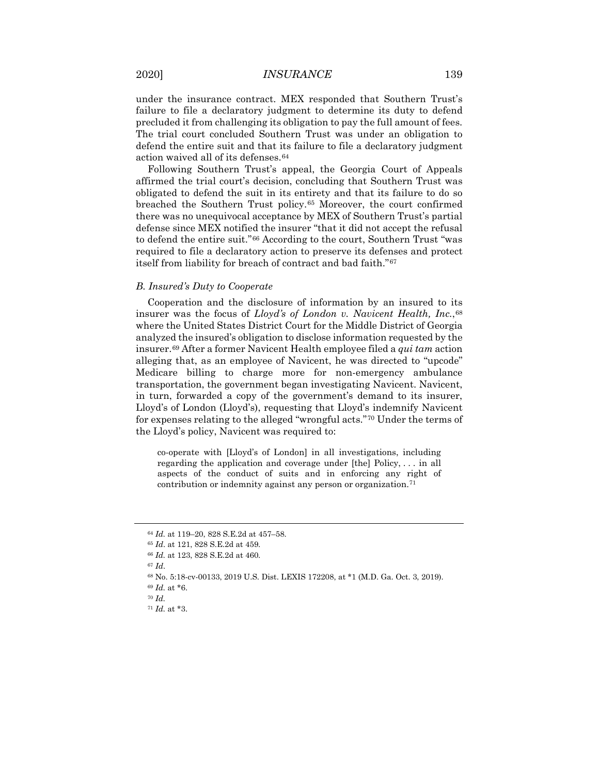under the insurance contract. MEX responded that Southern Trust's failure to file a declaratory judgment to determine its duty to defend precluded it from challenging its obligation to pay the full amount of fees. The trial court concluded Southern Trust was under an obligation to defend the entire suit and that its failure to file a declaratory judgment action waived all of its defenses.[64](#page-9-0)

Following Southern Trust's appeal, the Georgia Court of Appeals affirmed the trial court's decision, concluding that Southern Trust was obligated to defend the suit in its entirety and that its failure to do so breached the Southern Trust policy.[65](#page-9-1) Moreover, the court confirmed there was no unequivocal acceptance by MEX of Southern Trust's partial defense since MEX notified the insurer "that it did not accept the refusal to defend the entire suit."[66](#page-9-2) According to the court, Southern Trust "was required to file a declaratory action to preserve its defenses and protect itself from liability for breach of contract and bad faith."[67](#page-9-3)

#### *B. Insured's Duty to Cooperate*

Cooperation and the disclosure of information by an insured to its insurer was the focus of *Lloyd's of London v. Navicent Health, Inc.*,[68](#page-9-4) where the United States District Court for the Middle District of Georgia analyzed the insured's obligation to disclose information requested by the insurer.[69](#page-9-5) After a former Navicent Health employee filed a *qui tam* action alleging that, as an employee of Navicent, he was directed to "upcode" Medicare billing to charge more for non-emergency ambulance transportation, the government began investigating Navicent. Navicent, in turn, forwarded a copy of the government's demand to its insurer, Lloyd's of London (Lloyd's), requesting that Lloyd's indemnify Navicent for expenses relating to the alleged "wrongful acts."[70](#page-9-6) Under the terms of the Lloyd's policy, Navicent was required to:

co-operate with [Lloyd's of London] in all investigations, including regarding the application and coverage under [the] Policy, . . . in all aspects of the conduct of suits and in enforcing any right of contribution or indemnity against any person or organization.<sup>[71](#page-9-7)</sup>

<span id="page-9-3"></span><sup>67</sup> *Id*.

<span id="page-9-0"></span><sup>64</sup> *Id.* at 119–20, 828 S.E.2d at 457–58.

<span id="page-9-1"></span><sup>65</sup> *Id*. at 121, 828 S.E.2d at 459.

<span id="page-9-2"></span><sup>66</sup> *Id.* at 123, 828 S.E.2d at 460.

<span id="page-9-5"></span><span id="page-9-4"></span><sup>68</sup> No. 5:18-cv-00133, 2019 U.S. Dist. LEXIS 172208, at \*1 (M.D. Ga. Oct. 3, 2019). <sup>69</sup> *Id.* at \*6.

<span id="page-9-7"></span><span id="page-9-6"></span><sup>70</sup> *Id.*

<sup>71</sup> *Id.* at \*3.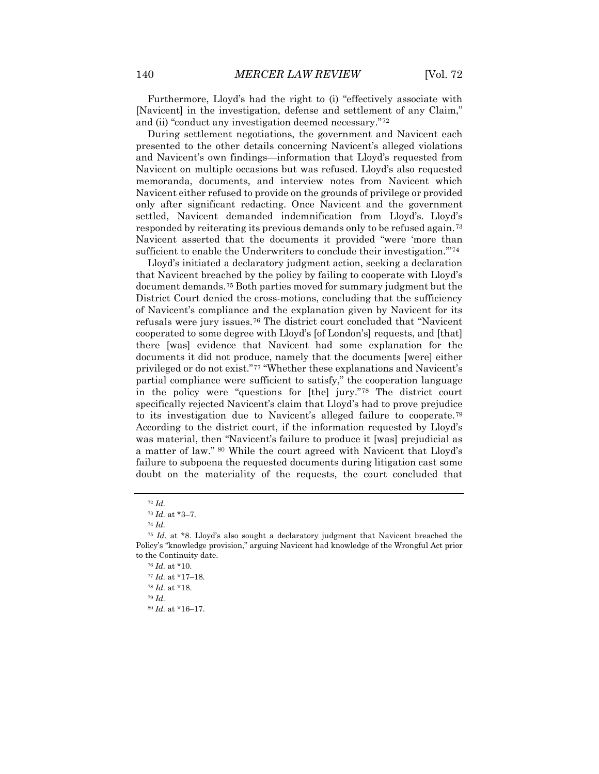Furthermore, Lloyd's had the right to (i) "effectively associate with [Navicent] in the investigation, defense and settlement of any Claim," and (ii) "conduct any investigation deemed necessary."[72](#page-10-0)

During settlement negotiations, the government and Navicent each presented to the other details concerning Navicent's alleged violations and Navicent's own findings—information that Lloyd's requested from Navicent on multiple occasions but was refused. Lloyd's also requested memoranda, documents, and interview notes from Navicent which Navicent either refused to provide on the grounds of privilege or provided only after significant redacting. Once Navicent and the government settled, Navicent demanded indemnification from Lloyd's. Lloyd's responded by reiterating its previous demands only to be refused again.[73](#page-10-1) Navicent asserted that the documents it provided "were 'more than sufficient to enable the Underwriters to conclude their investigation."<sup>[74](#page-10-2)</sup>

Lloyd's initiated a declaratory judgment action, seeking a declaration that Navicent breached by the policy by failing to cooperate with Lloyd's document demands.[75](#page-10-3) Both parties moved for summary judgment but the District Court denied the cross-motions, concluding that the sufficiency of Navicent's compliance and the explanation given by Navicent for its refusals were jury issues.[76](#page-10-4) The district court concluded that "Navicent cooperated to some degree with Lloyd's [of London's] requests, and [that] there [was] evidence that Navicent had some explanation for the documents it did not produce, namely that the documents [were] either privileged or do not exist."[77](#page-10-5) "Whether these explanations and Navicent's partial compliance were sufficient to satisfy," the cooperation language in the policy were "questions for [the] jury."[78](#page-10-6) The district court specifically rejected Navicent's claim that Lloyd's had to prove prejudice to its investigation due to Navicent's alleged failure to cooperate.[79](#page-10-7)  According to the district court, if the information requested by Lloyd's was material, then "Navicent's failure to produce it [was] prejudicial as a matter of law." [80](#page-10-8) While the court agreed with Navicent that Lloyd's failure to subpoena the requested documents during litigation cast some doubt on the materiality of the requests, the court concluded that

<sup>79</sup> *Id.*

<sup>72</sup> *Id.*

<sup>73</sup> *Id.* at \*3–7.

<sup>74</sup> *Id.*

<span id="page-10-6"></span><span id="page-10-5"></span><span id="page-10-4"></span><span id="page-10-3"></span><span id="page-10-2"></span><span id="page-10-1"></span><span id="page-10-0"></span><sup>75</sup> *Id.* at \*8. Lloyd's also sought a declaratory judgment that Navicent breached the Policy's "knowledge provision," arguing Navicent had knowledge of the Wrongful Act prior to the Continuity date.

<sup>76</sup> *Id.* at \*10.

<sup>77</sup> *Id.* at \*17–18.

<span id="page-10-8"></span><span id="page-10-7"></span><sup>78</sup> *Id.* at \*18.

<sup>80</sup> *Id.* at \*16–17.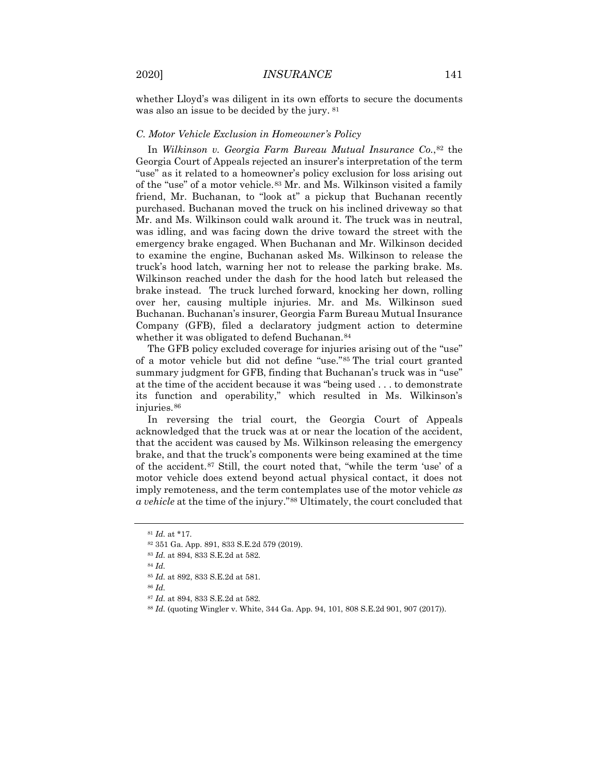whether Lloyd's was diligent in its own efforts to secure the documents was also an issue to be decided by the jury. [81](#page-11-0) 

## *C. Motor Vehicle Exclusion in Homeowner's Policy*

In *Wilkinson v. Georgia Farm Bureau Mutual Insurance Co.*,[82](#page-11-1) the Georgia Court of Appeals rejected an insurer's interpretation of the term "use" as it related to a homeowner's policy exclusion for loss arising out of the "use" of a motor vehicle.[83](#page-11-2) Mr. and Ms. Wilkinson visited a family friend, Mr. Buchanan, to "look at" a pickup that Buchanan recently purchased. Buchanan moved the truck on his inclined driveway so that Mr. and Ms. Wilkinson could walk around it. The truck was in neutral, was idling, and was facing down the drive toward the street with the emergency brake engaged. When Buchanan and Mr. Wilkinson decided to examine the engine, Buchanan asked Ms. Wilkinson to release the truck's hood latch, warning her not to release the parking brake. Ms. Wilkinson reached under the dash for the hood latch but released the brake instead. The truck lurched forward, knocking her down, rolling over her, causing multiple injuries. Mr. and Ms. Wilkinson sued Buchanan. Buchanan's insurer, Georgia Farm Bureau Mutual Insurance Company (GFB), filed a declaratory judgment action to determine whether it was obligated to defend Buchanan.<sup>[84](#page-11-3)</sup>

The GFB policy excluded coverage for injuries arising out of the "use" of a motor vehicle but did not define "use."[85](#page-11-4) The trial court granted summary judgment for GFB, finding that Buchanan's truck was in "use" at the time of the accident because it was "being used . . . to demonstrate its function and operability," which resulted in Ms. Wilkinson's injuries.[86](#page-11-5)

In reversing the trial court, the Georgia Court of Appeals acknowledged that the truck was at or near the location of the accident, that the accident was caused by Ms. Wilkinson releasing the emergency brake, and that the truck's components were being examined at the time of the accident.[87](#page-11-6) Still, the court noted that, "while the term 'use' of a motor vehicle does extend beyond actual physical contact, it does not imply remoteness, and the term contemplates use of the motor vehicle *as a vehicle* at the time of the injury."[88](#page-11-7) Ultimately, the court concluded that

<sup>84</sup> *Id.* 

<span id="page-11-6"></span><span id="page-11-5"></span><sup>86</sup> *Id.*

<span id="page-11-0"></span><sup>81</sup> *Id.* at \*17.

<sup>82</sup> 351 Ga. App. 891, 833 S.E.2d 579 (2019).

<span id="page-11-4"></span><span id="page-11-3"></span><span id="page-11-2"></span><span id="page-11-1"></span><sup>83</sup> *Id.* at 894, 833 S.E.2d at 582.

<sup>85</sup> *Id.* at 892, 833 S.E.2d at 581.

<sup>87</sup> *Id.* at 894, 833 S.E.2d at 582.

<span id="page-11-7"></span><sup>88</sup> *Id.* (quoting Wingler v. White, 344 Ga. App. 94, 101, 808 S.E.2d 901, 907 (2017)).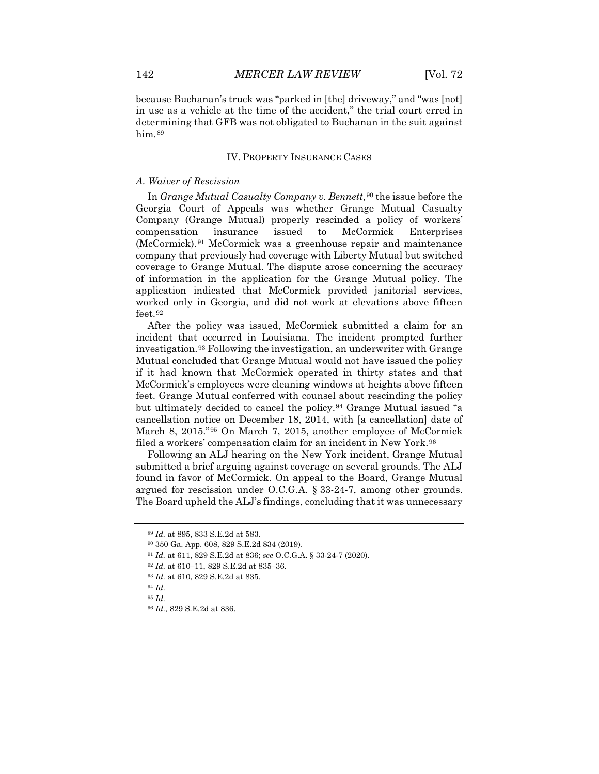because Buchanan's truck was "parked in [the] driveway," and "was [not] in use as a vehicle at the time of the accident," the trial court erred in determining that GFB was not obligated to Buchanan in the suit against him.<sup>[89](#page-12-0)</sup>

#### IV. PROPERTY INSURANCE CASES

### *A. Waiver of Rescission*

In *Grange Mutual Casualty Company v. Bennett*,<sup>[90](#page-12-1)</sup> the issue before the Georgia Court of Appeals was whether Grange Mutual Casualty Company (Grange Mutual) properly rescinded a policy of workers' compensation insurance issued to McCormick Enterprises (McCormick).[91](#page-12-2) McCormick was a greenhouse repair and maintenance company that previously had coverage with Liberty Mutual but switched coverage to Grange Mutual. The dispute arose concerning the accuracy of information in the application for the Grange Mutual policy. The application indicated that McCormick provided janitorial services, worked only in Georgia, and did not work at elevations above fifteen feet.<sup>92</sup>

After the policy was issued, McCormick submitted a claim for an incident that occurred in Louisiana. The incident prompted further investigation.[93](#page-12-4) Following the investigation, an underwriter with Grange Mutual concluded that Grange Mutual would not have issued the policy if it had known that McCormick operated in thirty states and that McCormick's employees were cleaning windows at heights above fifteen feet. Grange Mutual conferred with counsel about rescinding the policy but ultimately decided to cancel the policy.<sup>[94](#page-12-5)</sup> Grange Mutual issued "a cancellation notice on December 18, 2014, with [a cancellation] date of March 8, 2015."[95](#page-12-6) On March 7, 2015, another employee of McCormick filed a workers' compensation claim for an incident in New York.<sup>[96](#page-12-7)</sup>

Following an ALJ hearing on the New York incident, Grange Mutual submitted a brief arguing against coverage on several grounds. The ALJ found in favor of McCormick. On appeal to the Board, Grange Mutual argued for rescission under O.C.G.A. § 33-24-7, among other grounds. The Board upheld the ALJ's findings, concluding that it was unnecessary

<span id="page-12-0"></span><sup>89</sup> *Id.* at 895, 833 S.E.2d at 583.

<span id="page-12-1"></span><sup>90</sup> 350 Ga. App. 608, 829 S.E.2d 834 (2019).

<span id="page-12-2"></span><sup>91</sup> *Id.* at 611, 829 S.E.2d at 836; *see* O.C.G.A. § 33-24-7 (2020).

<sup>92</sup> *Id.* at 610–11, 829 S.E.2d at 835–36.

<span id="page-12-4"></span><span id="page-12-3"></span><sup>93</sup> *Id.* at 610, 829 S.E.2d at 835.

<span id="page-12-6"></span><span id="page-12-5"></span><sup>94</sup> *Id.* 

<span id="page-12-7"></span><sup>95</sup> *Id.*

<sup>96</sup> *Id.*, 829 S.E.2d at 836.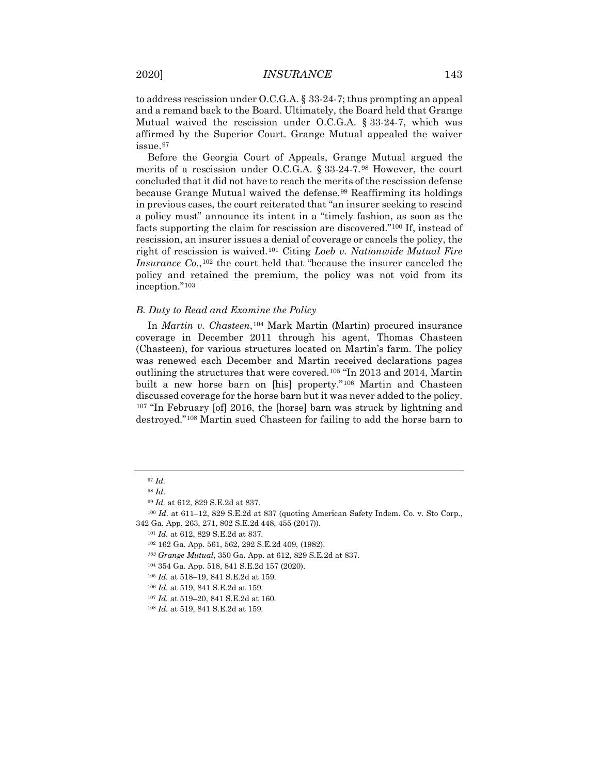to address rescission under O.C.G.A. § 33-24-7; thus prompting an appeal and a remand back to the Board. Ultimately, the Board held that Grange Mutual waived the rescission under O.C.G.A. § 33-24-7, which was affirmed by the Superior Court. Grange Mutual appealed the waiver issue.[97](#page-13-0)

Before the Georgia Court of Appeals, Grange Mutual argued the merits of a rescission under O.C.G.A. § 33-24-7.[98](#page-13-1) However, the court concluded that it did not have to reach the merits of the rescission defense because Grange Mutual waived the defense.<sup>[99](#page-13-2)</sup> Reaffirming its holdings in previous cases, the court reiterated that "an insurer seeking to rescind a policy must" announce its intent in a "timely fashion, as soon as the facts supporting the claim for rescission are discovered."[100](#page-13-3) If, instead of rescission, an insurer issues a denial of coverage or cancels the policy, the right of rescission is waived.[101](#page-13-4) Citing *Loeb v. Nationwide Mutual Fire Insurance Co.*,[102](#page-13-5) the court held that "because the insurer canceled the policy and retained the premium, the policy was not void from its inception."[103](#page-13-6)

#### *B. Duty to Read and Examine the Policy*

In *Martin v. Chasteen*,[104](#page-13-7) Mark Martin (Martin) procured insurance coverage in December 2011 through his agent, Thomas Chasteen (Chasteen), for various structures located on Martin's farm. The policy was renewed each December and Martin received declarations pages outlining the structures that were covered.[105](#page-13-8) "In 2013 and 2014, Martin built a new horse barn on [his] property."[106](#page-13-9) Martin and Chasteen discussed coverage for the horse barn but it was never added to the policy. <sup>[107](#page-13-10)</sup> "In February [of] 2016, the [horse] barn was struck by lightning and destroyed."[108](#page-13-11) Martin sued Chasteen for failing to add the horse barn to

<sup>97</sup> *Id.*

<sup>98</sup> *Id*.

<sup>99</sup> *Id.* at 612, 829 S.E.2d at 837.

<span id="page-13-7"></span><span id="page-13-6"></span><span id="page-13-5"></span><span id="page-13-4"></span><span id="page-13-3"></span><span id="page-13-2"></span><span id="page-13-1"></span><span id="page-13-0"></span><sup>100</sup> *Id.* at 611–12, 829 S.E.2d at 837 (quoting American Safety Indem. Co. v. Sto Corp., 342 Ga. App. 263, 271, 802 S.E.2d 448, 455 (2017)).

<sup>101</sup> *Id.* at 612, 829 S.E.2d at 837.

<sup>102</sup> 162 Ga. App. 561, 562, 292 S.E.2d 409, (1982).

*<sup>103</sup> Grange Mutual*, 350 Ga. App. at 612, 829 S.E.2d at 837.

<span id="page-13-8"></span><sup>104</sup> 354 Ga. App. 518, 841 S.E.2d 157 (2020).

<sup>105</sup> *Id.* at 518–19, 841 S.E.2d at 159.

<span id="page-13-9"></span><sup>106</sup> *Id.* at 519, 841 S.E.2d at 159.

<span id="page-13-10"></span><sup>107</sup> *Id.* at 519–20, 841 S.E.2d at 160.

<span id="page-13-11"></span><sup>108</sup> *Id.* at 519, 841 S.E.2d at 159.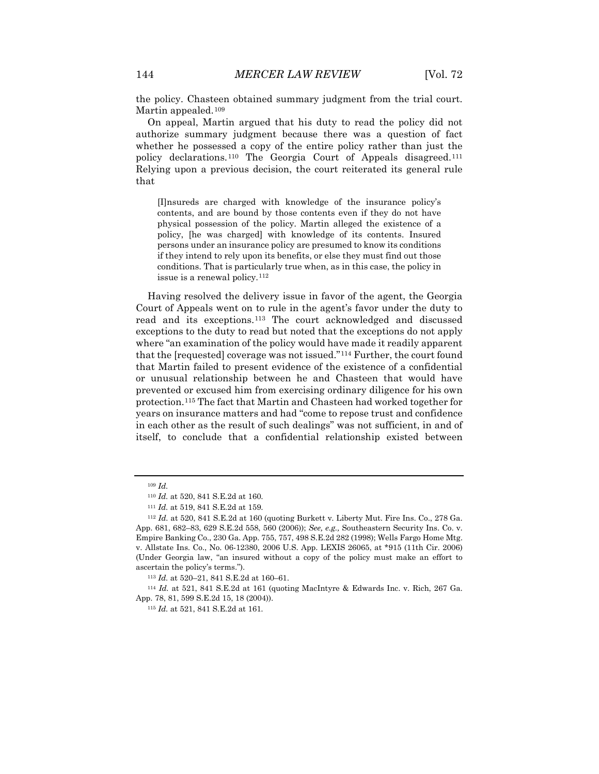the policy. Chasteen obtained summary judgment from the trial court. Martin appealed.<sup>[109](#page-14-0)</sup>

On appeal, Martin argued that his duty to read the policy did not authorize summary judgment because there was a question of fact whether he possessed a copy of the entire policy rather than just the policy declarations.[110](#page-14-1) The Georgia Court of Appeals disagreed.[111](#page-14-2) Relying upon a previous decision, the court reiterated its general rule that

[I]nsureds are charged with knowledge of the insurance policy's contents, and are bound by those contents even if they do not have physical possession of the policy. Martin alleged the existence of a policy, [he was charged] with knowledge of its contents. Insured persons under an insurance policy are presumed to know its conditions if they intend to rely upon its benefits, or else they must find out those conditions. That is particularly true when, as in this case, the policy in issue is a renewal policy.<sup>[112](#page-14-3)</sup>

Having resolved the delivery issue in favor of the agent, the Georgia Court of Appeals went on to rule in the agent's favor under the duty to read and its exceptions.[113](#page-14-4) The court acknowledged and discussed exceptions to the duty to read but noted that the exceptions do not apply where "an examination of the policy would have made it readily apparent that the [requested] coverage was not issued."[114](#page-14-5) Further, the court found that Martin failed to present evidence of the existence of a confidential or unusual relationship between he and Chasteen that would have prevented or excused him from exercising ordinary diligence for his own protection.[115](#page-14-6) The fact that Martin and Chasteen had worked together for years on insurance matters and had "come to repose trust and confidence in each other as the result of such dealings" was not sufficient, in and of itself, to conclude that a confidential relationship existed between

<sup>109</sup> *Id.*

<sup>110</sup> *Id.* at 520, 841 S.E.2d at 160.

<sup>111</sup> *Id.* at 519, 841 S.E.2d at 159.

<span id="page-14-3"></span><span id="page-14-2"></span><span id="page-14-1"></span><span id="page-14-0"></span><sup>112</sup> *Id.* at 520, 841 S.E.2d at 160 (quoting Burkett v. Liberty Mut. Fire Ins. Co., 278 Ga. App. 681, 682–83, 629 S.E.2d 558, 560 (2006)); *See, e.g.,* Southeastern Security Ins. Co. v. Empire Banking Co., 230 Ga. App. 755, 757, 498 S.E.2d 282 (1998); Wells Fargo Home Mtg. v. Allstate Ins. Co., No. 06-12380, 2006 U.S. App. LEXIS 26065, at \*915 (11th Cir. 2006) (Under Georgia law, "an insured without a copy of the policy must make an effort to ascertain the policy's terms.").

<sup>113</sup> *Id.* at 520–21, 841 S.E.2d at 160–61.

<span id="page-14-6"></span><span id="page-14-5"></span><span id="page-14-4"></span><sup>114</sup> *Id.* at 521, 841 S.E.2d at 161 (quoting MacIntyre & Edwards Inc. v. Rich, 267 Ga. App. 78, 81, 599 S.E.2d 15, 18 (2004)).

<sup>115</sup> *Id.* at 521, 841 S.E.2d at 161.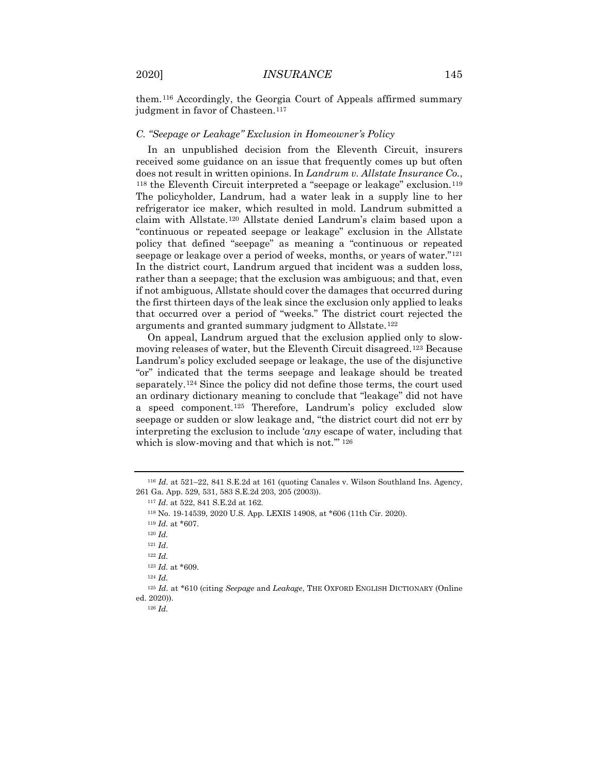them.[116](#page-15-0) Accordingly, the Georgia Court of Appeals affirmed summary judgment in favor of Chasteen.<sup>[117](#page-15-1)</sup>

## *C. "Seepage or Leakage" Exclusion in Homeowner's Policy*

In an unpublished decision from the Eleventh Circuit, insurers received some guidance on an issue that frequently comes up but often does not result in written opinions. In *Landrum v. Allstate Insurance Co.*, <sup>[118](#page-15-2)</sup> the Eleventh Circuit interpreted a "seepage or leakage" exclusion.<sup>[119](#page-15-3)</sup> The policyholder, Landrum, had a water leak in a supply line to her refrigerator ice maker, which resulted in mold. Landrum submitted a claim with Allstate.[120](#page-15-4) Allstate denied Landrum's claim based upon a "continuous or repeated seepage or leakage" exclusion in the Allstate policy that defined "seepage" as meaning a "continuous or repeated seepage or leakage over a period of weeks, months, or years of water."[121](#page-15-5) In the district court, Landrum argued that incident was a sudden loss, rather than a seepage; that the exclusion was ambiguous; and that, even if not ambiguous, Allstate should cover the damages that occurred during the first thirteen days of the leak since the exclusion only applied to leaks that occurred over a period of "weeks." The district court rejected the arguments and granted summary judgment to Allstate.<sup>[122](#page-15-6)</sup>

On appeal, Landrum argued that the exclusion applied only to slowmoving releases of water, but the Eleventh Circuit disagreed.[123](#page-15-7) Because Landrum's policy excluded seepage or leakage, the use of the disjunctive "or" indicated that the terms seepage and leakage should be treated separately.[124](#page-15-8) Since the policy did not define those terms, the court used an ordinary dictionary meaning to conclude that "leakage" did not have a speed component.[125](#page-15-9) Therefore, Landrum's policy excluded slow seepage or sudden or slow leakage and, "the district court did not err by interpreting the exclusion to include '*any* escape of water, including that which is slow-moving and that which is not.'" [126](#page-15-10)

<span id="page-15-4"></span><span id="page-15-3"></span><span id="page-15-2"></span><span id="page-15-1"></span><span id="page-15-0"></span><sup>116</sup> *Id.* at 521–22, 841 S.E.2d at 161 (quoting Canales v. Wilson Southland Ins. Agency, 261 Ga. App. 529, 531, 583 S.E.2d 203, 205 (2003)).

<sup>117</sup> *Id*. at 522, 841 S.E.2d at 162.

<sup>118</sup> No. 19-14539, 2020 U.S. App. LEXIS 14908, at \*606 (11th Cir. 2020).

<sup>119</sup> *Id.* at \*607.

<sup>120</sup> *Id.*

<sup>121</sup> *Id*.

<sup>122</sup> *Id.*

<sup>123</sup> *Id.* at \*609.

<sup>124</sup> *Id.*

<span id="page-15-10"></span><span id="page-15-9"></span><span id="page-15-8"></span><span id="page-15-7"></span><span id="page-15-6"></span><span id="page-15-5"></span><sup>125</sup> *Id.* at \*610 (citing *Seepage* and *Leakage*, THE OXFORD ENGLISH DICTIONARY (Online ed. 2020)).

<sup>126</sup> *Id.*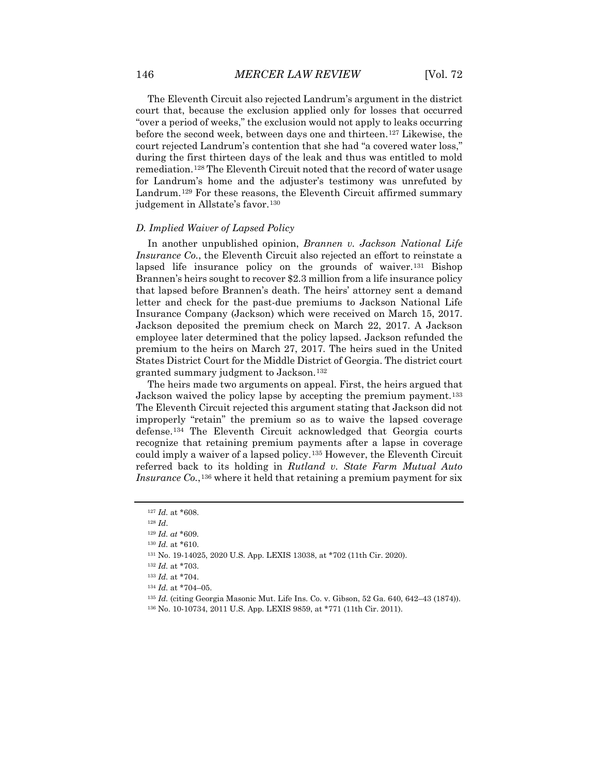The Eleventh Circuit also rejected Landrum's argument in the district court that, because the exclusion applied only for losses that occurred "over a period of weeks," the exclusion would not apply to leaks occurring before the second week, between days one and thirteen.[127](#page-16-0) Likewise, the court rejected Landrum's contention that she had "a covered water loss," during the first thirteen days of the leak and thus was entitled to mold remediation.[128](#page-16-1) The Eleventh Circuit noted that the record of water usage for Landrum's home and the adjuster's testimony was unrefuted by Landrum.<sup>[129](#page-16-2)</sup> For these reasons, the Eleventh Circuit affirmed summary judgement in Allstate's favor.<sup>[130](#page-16-3)</sup>

#### *D. Implied Waiver of Lapsed Policy*

In another unpublished opinion, *Brannen v. Jackson National Life Insurance Co.*, the Eleventh Circuit also rejected an effort to reinstate a lapsed life insurance policy on the grounds of waiver.<sup>[131](#page-16-4)</sup> Bishop Brannen's heirs sought to recover \$2.3 million from a life insurance policy that lapsed before Brannen's death. The heirs' attorney sent a demand letter and check for the past-due premiums to Jackson National Life Insurance Company (Jackson) which were received on March 15, 2017. Jackson deposited the premium check on March 22, 2017. A Jackson employee later determined that the policy lapsed. Jackson refunded the premium to the heirs on March 27, 2017. The heirs sued in the United States District Court for the Middle District of Georgia. The district court granted summary judgment to Jackson.[132](#page-16-5)

The heirs made two arguments on appeal. First, the heirs argued that Jackson waived the policy lapse by accepting the premium payment.<sup>[133](#page-16-6)</sup> The Eleventh Circuit rejected this argument stating that Jackson did not improperly "retain" the premium so as to waive the lapsed coverage defense.[134](#page-16-7) The Eleventh Circuit acknowledged that Georgia courts recognize that retaining premium payments after a lapse in coverage could imply a waiver of a lapsed policy.[135](#page-16-8) However, the Eleventh Circuit referred back to its holding in *Rutland v. State Farm Mutual Auto Insurance Co.*,<sup>[136](#page-16-9)</sup> where it held that retaining a premium payment for six

<span id="page-16-0"></span><sup>127</sup> *Id.* at \*608.

<sup>128</sup> *Id*.

<span id="page-16-2"></span><span id="page-16-1"></span><sup>129</sup> *Id. at* \*609.

<sup>130</sup> *Id.* at \*610.

<span id="page-16-6"></span><span id="page-16-5"></span><span id="page-16-4"></span><span id="page-16-3"></span><sup>131</sup> No. 19-14025, 2020 U.S. App. LEXIS 13038, at \*702 (11th Cir. 2020).

<sup>132</sup> *Id.* at \*703.

<span id="page-16-7"></span><sup>133</sup> *Id.* at \*704.

<sup>134</sup> *Id.* at \*704–05.

<span id="page-16-8"></span><sup>135</sup> *Id.* (citing Georgia Masonic Mut. Life Ins. Co. v. Gibson, 52 Ga. 640, 642–43 (1874)).

<span id="page-16-9"></span><sup>136</sup> No. 10-10734, 2011 U.S. App. LEXIS 9859, at \*771 (11th Cir. 2011).